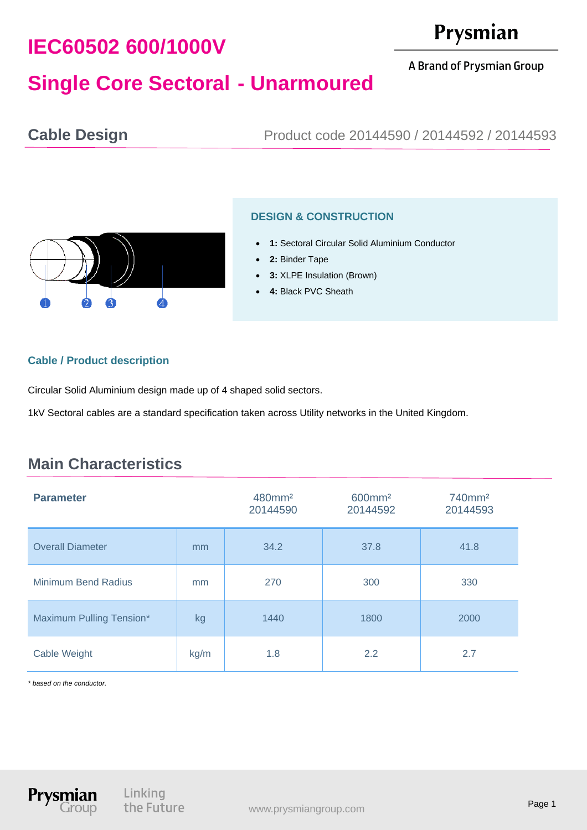# **IEC60502 600/1000V**

# Prysmian

A Brand of Prysmian Group

# **Single Core Sectoral - Unarmoured**

**Cable Design** Product code 20144590 / 20144592 / 20144593



### **DESIGN & CONSTRUCTION**

- **1:** Sectoral Circular Solid Aluminium Conductor
- **2:** Binder Tape
- **3:** XLPE Insulation (Brown)
- **4:** Black PVC Sheath

#### **Cable / Product description**

Circular Solid Aluminium design made up of 4 shaped solid sectors.

1kV Sectoral cables are a standard specification taken across Utility networks in the United Kingdom.

## **Main Characteristics**

| <b>Parameter</b>           |      | 480mm <sup>2</sup><br>20144590 | 600mm <sup>2</sup><br>20144592 | 740mm <sup>2</sup><br>20144593 |
|----------------------------|------|--------------------------------|--------------------------------|--------------------------------|
| <b>Overall Diameter</b>    | mm   | 34.2                           | 37.8                           | 41.8                           |
| <b>Minimum Bend Radius</b> | mm   | 270                            | 300                            | 330                            |
| Maximum Pulling Tension*   | kg   | 1440                           | 1800                           | 2000                           |
| Cable Weight               | kg/m | 1.8                            | 2.2                            | 2.7                            |

*\* based on the conductor.*